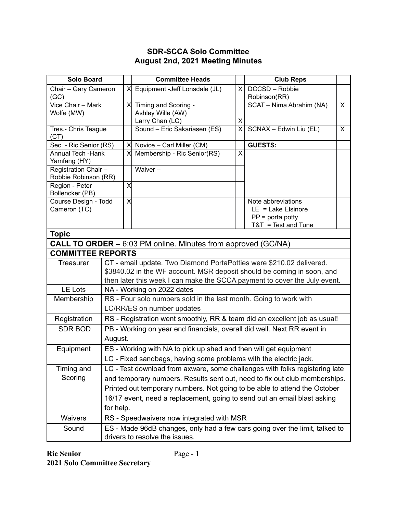## **SDR-SCCA Solo Committee August 2nd, 2021 Meeting Minutes**

| <b>Solo Board</b>                                                    |                                                                             |                                                                      | <b>Committee Heads</b>                                                    |                              | <b>Club Reps</b>                           |              |  |
|----------------------------------------------------------------------|-----------------------------------------------------------------------------|----------------------------------------------------------------------|---------------------------------------------------------------------------|------------------------------|--------------------------------------------|--------------|--|
| Chair - Gary Cameron                                                 |                                                                             | $\times$                                                             | Equipment - Jeff Lonsdale (JL)                                            | $\times$                     | DCCSD - Robbie                             |              |  |
| (GC)                                                                 |                                                                             |                                                                      |                                                                           |                              | Robinson(RR)                               |              |  |
| Vice Chair - Mark                                                    |                                                                             |                                                                      | X Timing and Scoring -                                                    |                              | SCAT - Nima Abrahim (NA)                   | X            |  |
| Wolfe (MW)                                                           |                                                                             |                                                                      | Ashley Wille (AW)                                                         |                              |                                            |              |  |
|                                                                      |                                                                             |                                                                      | Larry Chan (LC)<br>Sound - Eric Sakariasen (ES)                           | X<br>$\overline{\mathsf{x}}$ | SCNAX - Edwin Liu (EL)                     | $\mathsf{X}$ |  |
| Tres.- Chris Teague<br>(CT)                                          |                                                                             |                                                                      |                                                                           |                              |                                            |              |  |
| Sec. - Ric Senior (RS)                                               |                                                                             | $\times$                                                             | Novice - Carl Miller (CM)                                                 |                              | <b>GUESTS:</b>                             |              |  |
| <b>Annual Tech - Hank</b><br>Yamfang (HY)                            |                                                                             | $\times$                                                             | Membership - Ric Senior(RS)                                               | X                            |                                            |              |  |
| Registration Chair -                                                 |                                                                             |                                                                      | Waiver-                                                                   |                              |                                            |              |  |
| Robbie Robinson (RR)                                                 |                                                                             |                                                                      |                                                                           |                              |                                            |              |  |
| Region - Peter                                                       |                                                                             | X                                                                    |                                                                           |                              |                                            |              |  |
| Bollencker (PB)                                                      |                                                                             |                                                                      |                                                                           |                              |                                            |              |  |
| Course Design - Todd                                                 |                                                                             | $\times$                                                             |                                                                           |                              | Note abbreviations<br>$LE = Lake Elsinore$ |              |  |
| Cameron (TC)                                                         |                                                                             |                                                                      |                                                                           |                              | $PP = porta$ potty                         |              |  |
|                                                                      |                                                                             |                                                                      |                                                                           |                              | $T&T = Test$ and Tune                      |              |  |
| <b>Topic</b>                                                         |                                                                             |                                                                      |                                                                           |                              |                                            |              |  |
| <b>CALL TO ORDER - 6:03 PM online. Minutes from approved (GC/NA)</b> |                                                                             |                                                                      |                                                                           |                              |                                            |              |  |
| <b>COMMITTEE REPORTS</b>                                             |                                                                             |                                                                      |                                                                           |                              |                                            |              |  |
| <b>Treasurer</b>                                                     |                                                                             | CT - email update. Two Diamond PortaPotties were \$210.02 delivered. |                                                                           |                              |                                            |              |  |
|                                                                      |                                                                             |                                                                      | \$3840.02 in the WF account. MSR deposit should be coming in soon, and    |                              |                                            |              |  |
|                                                                      |                                                                             |                                                                      | then later this week I can make the SCCA payment to cover the July event. |                              |                                            |              |  |
| <b>LE Lots</b>                                                       | NA - Working on 2022 dates                                                  |                                                                      |                                                                           |                              |                                            |              |  |
| Membership                                                           |                                                                             |                                                                      | RS - Four solo numbers sold in the last month. Going to work with         |                              |                                            |              |  |
|                                                                      |                                                                             |                                                                      | LC/RR/ES on number updates                                                |                              |                                            |              |  |
| Registration                                                         | RS - Registration went smoothly, RR & team did an excellent job as usual!   |                                                                      |                                                                           |                              |                                            |              |  |
| <b>SDR BOD</b>                                                       |                                                                             |                                                                      | PB - Working on year end financials, overall did well. Next RR event in   |                              |                                            |              |  |
|                                                                      | August.                                                                     |                                                                      |                                                                           |                              |                                            |              |  |
| Equipment                                                            |                                                                             | ES - Working with NA to pick up shed and then will get equipment     |                                                                           |                              |                                            |              |  |
|                                                                      |                                                                             |                                                                      | LC - Fixed sandbags, having some problems with the electric jack.         |                              |                                            |              |  |
| Timing and                                                           | LC - Test download from axware, some challenges with folks registering late |                                                                      |                                                                           |                              |                                            |              |  |
| Scoring                                                              | and temporary numbers. Results sent out, need to fix out club memberships.  |                                                                      |                                                                           |                              |                                            |              |  |
|                                                                      |                                                                             |                                                                      | Printed out temporary numbers. Not going to be able to attend the October |                              |                                            |              |  |
|                                                                      |                                                                             |                                                                      | 16/17 event, need a replacement, going to send out an email blast asking  |                              |                                            |              |  |
|                                                                      | for help.                                                                   |                                                                      |                                                                           |                              |                                            |              |  |
| <b>Waivers</b>                                                       | RS - Speedwaivers now integrated with MSR                                   |                                                                      |                                                                           |                              |                                            |              |  |
| Sound                                                                | ES - Made 96dB changes, only had a few cars going over the limit, talked to |                                                                      |                                                                           |                              |                                            |              |  |
|                                                                      | drivers to resolve the issues.                                              |                                                                      |                                                                           |                              |                                            |              |  |